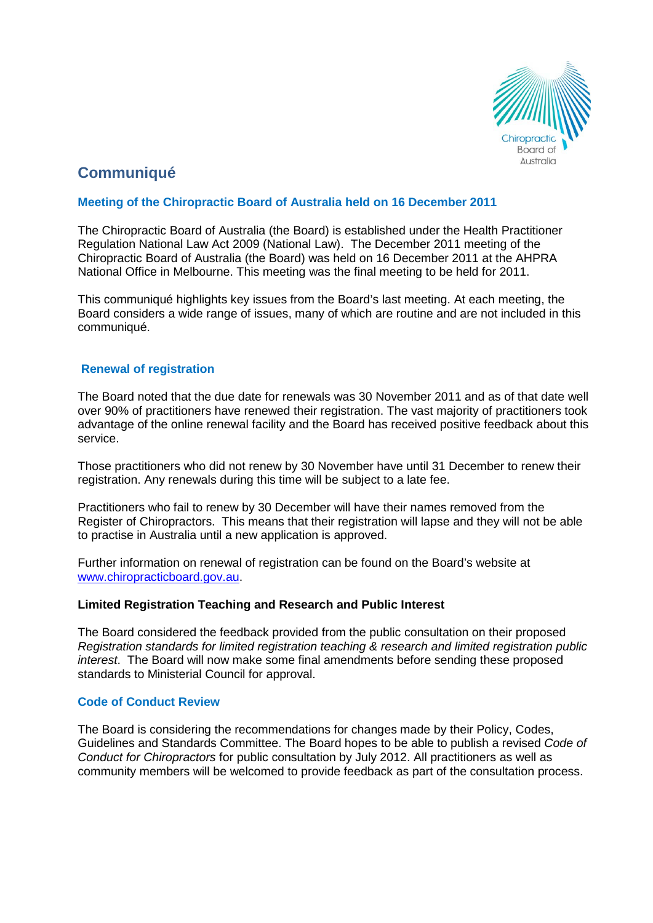

# **Communiqué**

## **Meeting of the Chiropractic Board of Australia held on 16 December 2011**

The Chiropractic Board of Australia (the Board) is established under the Health Practitioner Regulation National Law Act 2009 (National Law). The December 2011 meeting of the Chiropractic Board of Australia (the Board) was held on 16 December 2011 at the AHPRA National Office in Melbourne. This meeting was the final meeting to be held for 2011.

This communiqué highlights key issues from the Board's last meeting. At each meeting, the Board considers a wide range of issues, many of which are routine and are not included in this communiqué.

## **Renewal of registration**

The Board noted that the due date for renewals was 30 November 2011 and as of that date well over 90% of practitioners have renewed their registration. The vast majority of practitioners took advantage of the online renewal facility and the Board has received positive feedback about this service.

Those practitioners who did not renew by 30 November have until 31 December to renew their registration. Any renewals during this time will be subject to a late fee.

Practitioners who fail to renew by 30 December will have their names removed from the Register of Chiropractors. This means that their registration will lapse and they will not be able to practise in Australia until a new application is approved.

Further information on renewal of registration can be found on the Board's website at [www.chiropracticboard.gov.au.](http://www.chiropracticboard.gov.au/)

#### **Limited Registration Teaching and Research and Public Interest**

The Board considered the feedback provided from the public consultation on their proposed *Registration standards for limited registration teaching & research and limited registration public interest*. The Board will now make some final amendments before sending these proposed standards to Ministerial Council for approval.

#### **Code of Conduct Review**

The Board is considering the recommendations for changes made by their Policy, Codes, Guidelines and Standards Committee. The Board hopes to be able to publish a revised *Code of Conduct for Chiropractors* for public consultation by July 2012. All practitioners as well as community members will be welcomed to provide feedback as part of the consultation process.